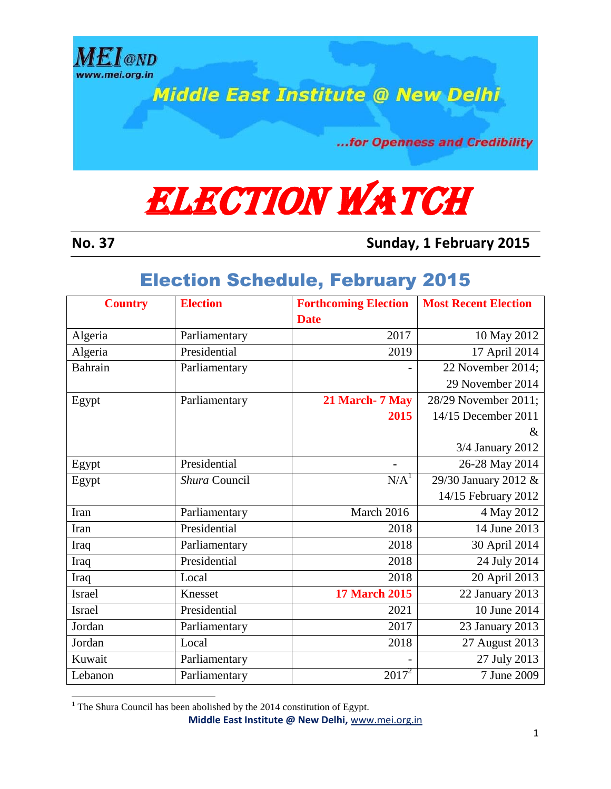

**Middle East Institute @ New Delhi** 

...for Openness and Credibility

## **ELECTION WATCH**

**No. 37 Sunday, 1 February 2015**

## Election Schedule, February 2015

| <b>Country</b> | <b>Election</b> | <b>Forthcoming Election</b> | <b>Most Recent Election</b> |
|----------------|-----------------|-----------------------------|-----------------------------|
|                |                 | <b>Date</b>                 |                             |
| Algeria        | Parliamentary   | 2017                        | 10 May 2012                 |
| Algeria        | Presidential    | 2019                        | 17 April 2014               |
| Bahrain        | Parliamentary   |                             | 22 November 2014;           |
|                |                 |                             | 29 November 2014            |
| Egypt          | Parliamentary   | 21 March- 7 May             | 28/29 November 2011;        |
|                |                 | 2015                        | 14/15 December 2011         |
|                |                 |                             | &                           |
|                |                 |                             | 3/4 January 2012            |
| Egypt          | Presidential    |                             | 26-28 May 2014              |
| Egypt          | Shura Council   | N/A <sup>1</sup>            | 29/30 January 2012 &        |
|                |                 |                             | 14/15 February 2012         |
| Iran           | Parliamentary   | March 2016                  | 4 May 2012                  |
| Iran           | Presidential    | 2018                        | $\overline{14}$ June 2013   |
| Iraq           | Parliamentary   | 2018                        | 30 April 2014               |
| Iraq           | Presidential    | 2018                        | 24 July 2014                |
| Iraq           | Local           | 2018                        | 20 April 2013               |
| Israel         | Knesset         | <b>17 March 2015</b>        | 22 January 2013             |
| <b>Israel</b>  | Presidential    | 2021                        | 10 June 2014                |
| Jordan         | Parliamentary   | 2017                        | 23 January 2013             |
| Jordan         | Local           | 2018                        | 27 August 2013              |
| Kuwait         | Parliamentary   |                             | 27 July 2013                |
| Lebanon        | Parliamentary   | $2017^2$                    | 7 June 2009                 |

l  $1$ <sup>1</sup> The Shura Council has been abolished by the 2014 constitution of Egypt.

**Middle East Institute @ New Delhi,** www.mei.org.in